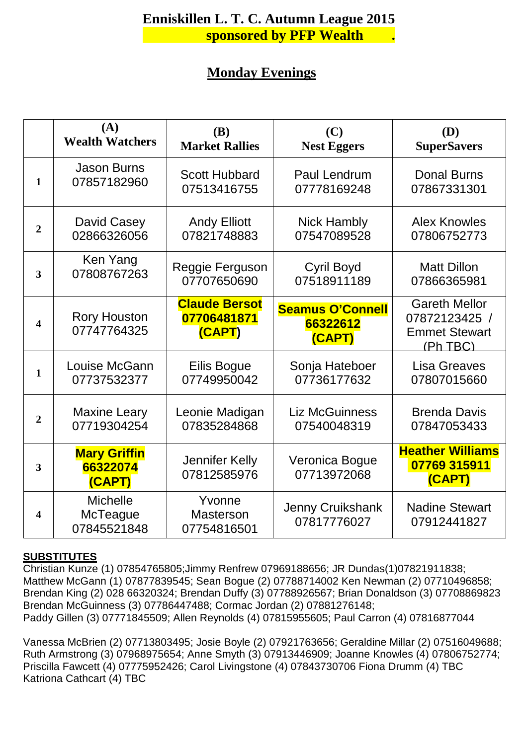# **EXECUTE:** Sponsored by PFP Wealth . **Enniskillen L. T. C. Autumn League 2015**

## **Monday Evenings**

|                  | (A)                                        | <b>(B)</b>                                    | (C)                                           | (D)                                                                       |
|------------------|--------------------------------------------|-----------------------------------------------|-----------------------------------------------|---------------------------------------------------------------------------|
|                  | <b>Wealth Watchers</b>                     | <b>Market Rallies</b>                         | <b>Nest Eggers</b>                            | <b>SuperSavers</b>                                                        |
| $\mathbf{1}$     | <b>Jason Burns</b>                         | <b>Scott Hubbard</b>                          | <b>Paul Lendrum</b>                           | <b>Donal Burns</b>                                                        |
|                  | 07857182960                                | 07513416755                                   | 07778169248                                   | 07867331301                                                               |
| $\boldsymbol{2}$ | David Casey                                | <b>Andy Elliott</b>                           | <b>Nick Hambly</b>                            | <b>Alex Knowles</b>                                                       |
|                  | 02866326056                                | 07821748883                                   | 07547089528                                   | 07806752773                                                               |
| 3                | Ken Yang                                   | Reggie Ferguson                               | <b>Cyril Boyd</b>                             | <b>Matt Dillon</b>                                                        |
|                  | 07808767263                                | 07707650690                                   | 07518911189                                   | 07866365981                                                               |
| 4                | <b>Rory Houston</b><br>07747764325         | <b>Claude Bersot</b><br>07706481871<br>(CAPT) | <b>Seamus O'Connell</b><br>66322612<br>(CAPT) | <b>Gareth Mellor</b><br>07872123425 /<br><b>Emmet Stewart</b><br>(Ph TBC) |
| $\mathbf{1}$     | Louise McGann                              | Eilis Bogue                                   | Sonja Hateboer                                | <b>Lisa Greaves</b>                                                       |
|                  | 07737532377                                | 07749950042                                   | 07736177632                                   | 07807015660                                                               |
| $\overline{2}$   | <b>Maxine Leary</b>                        | Leonie Madigan                                | <b>Liz McGuinness</b>                         | <b>Brenda Davis</b>                                                       |
|                  | 07719304254                                | 07835284868                                   | 07540048319                                   | 07847053433                                                               |
| 3                | <b>Mary Griffin</b><br>66322074<br>(CAPT)  | Jennifer Kelly<br>07812585976                 | Veronica Bogue<br>07713972068                 | <b>Heather Williams</b><br>07769 315911<br>(CAPT)                         |
| 4                | <b>Michelle</b><br>McTeague<br>07845521848 | Yvonne<br><b>Masterson</b><br>07754816501     | Jenny Cruikshank<br>07817776027               | <b>Nadine Stewart</b><br>07912441827                                      |

#### **SUBSTITUTES**

Christian Kunze (1) 07854765805;Jimmy Renfrew 07969188656; JR Dundas(1)07821911838; Matthew McGann (1) 07877839545; Sean Bogue (2) 07788714002 Ken Newman (2) 07710496858; Brendan King (2) 028 66320324; Brendan Duffy (3) 07788926567; Brian Donaldson (3) 07708869823 Brendan McGuinness (3) 07786447488; Cormac Jordan (2) 07881276148; Paddy Gillen (3) 07771845509; Allen Reynolds (4) 07815955605; Paul Carron (4) 07816877044

Vanessa McBrien (2) 07713803495; Josie Boyle (2) 07921763656; Geraldine Millar (2) 07516049688; Ruth Armstrong (3) 07968975654; Anne Smyth (3) 07913446909; Joanne Knowles (4) 07806752774; Priscilla Fawcett (4) 07775952426; Carol Livingstone (4) 07843730706 Fiona Drumm (4) TBC Katriona Cathcart (4) TBC